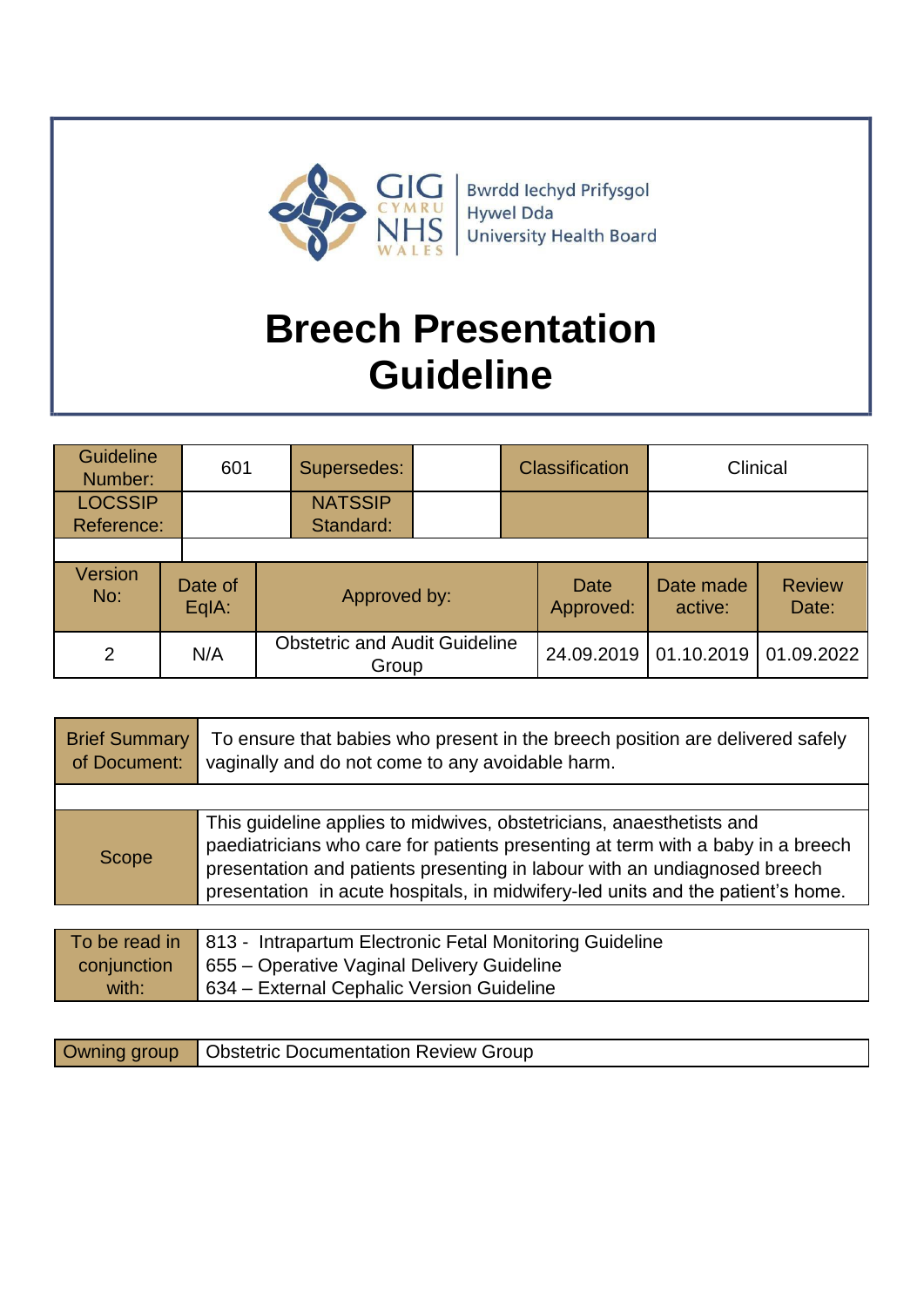

# **Breech Presentation Guideline**

| <b>Guideline</b><br>Number:  | 601              | Supersedes:                                   |  | <b>Classification</b> |                      | Clinical               |
|------------------------------|------------------|-----------------------------------------------|--|-----------------------|----------------------|------------------------|
| <b>LOCSSIP</b><br>Reference: |                  | <b>NATSSIP</b><br>Standard:                   |  |                       |                      |                        |
|                              |                  |                                               |  |                       |                      |                        |
| <b>Version</b><br>No:        | Date of<br>EqIA: | Approved by:                                  |  | Date<br>Approved:     | Date made<br>active: | <b>Review</b><br>Date: |
| 2                            | N/A              | <b>Obstetric and Audit Guideline</b><br>Group |  | 24.09.2019            | 01.10.2019           | 01.09.2022             |

| <b>Brief Summary</b><br>of Document: | To ensure that babies who present in the breech position are delivered safely<br>vaginally and do not come to any avoidable harm.                                                                                                                                                                                       |
|--------------------------------------|-------------------------------------------------------------------------------------------------------------------------------------------------------------------------------------------------------------------------------------------------------------------------------------------------------------------------|
|                                      |                                                                                                                                                                                                                                                                                                                         |
| Scope                                | This guideline applies to midwives, obstetricians, anaesthetists and<br>paediatricians who care for patients presenting at term with a baby in a breech<br>presentation and patients presenting in labour with an undiagnosed breech<br>presentation in acute hospitals, in midwifery-led units and the patient's home. |

|             | To be read in   813 - Intrapartum Electronic Fetal Monitoring Guideline |
|-------------|-------------------------------------------------------------------------|
| conjunction | 655 – Operative Vaginal Delivery Guideline                              |
| with:       | 634 – External Cephalic Version Guideline                               |

|  | Owning group   Obstetric Documentation Review Group |  |
|--|-----------------------------------------------------|--|
|--|-----------------------------------------------------|--|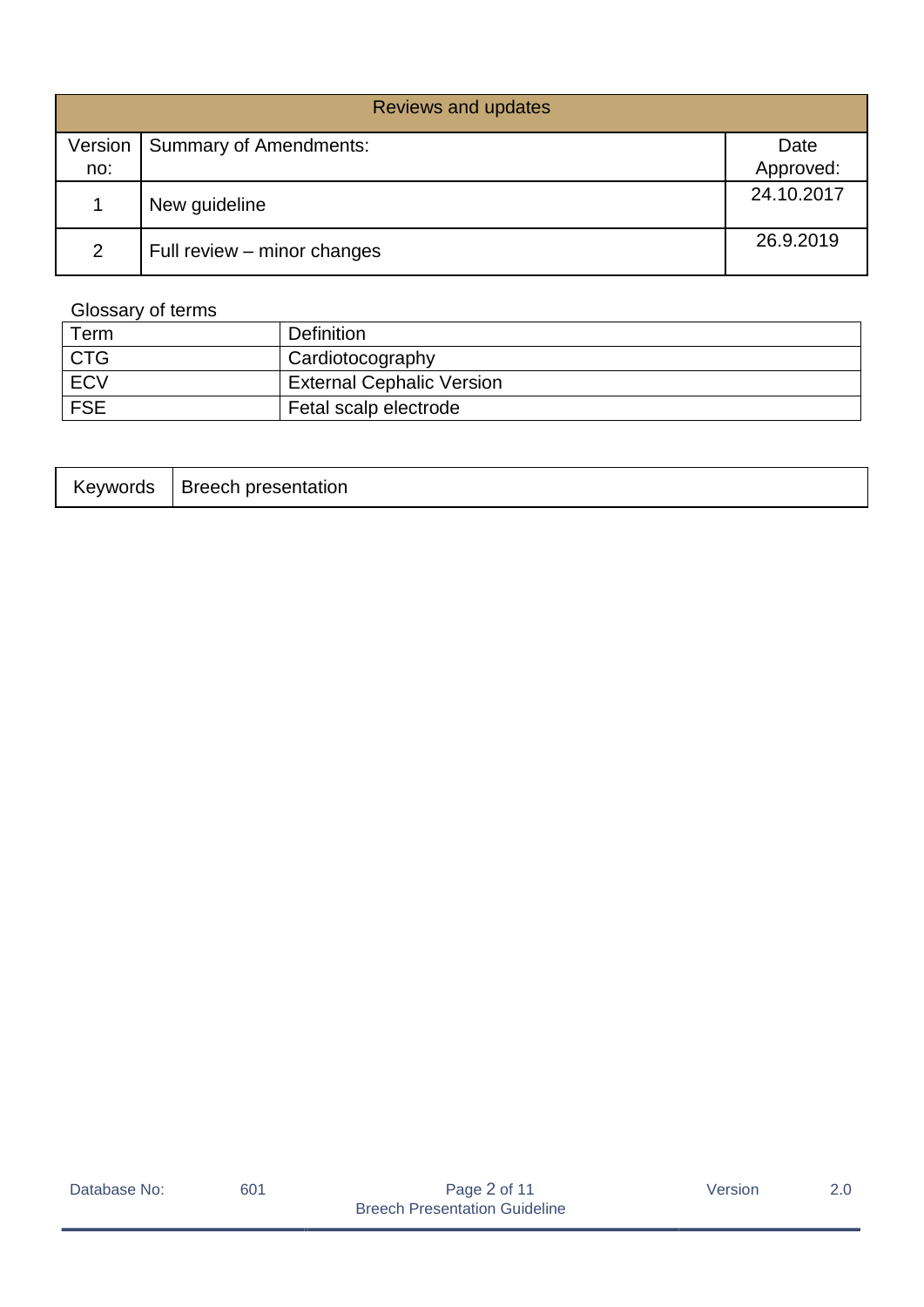| <b>Reviews and updates</b> |                               |            |  |  |
|----------------------------|-------------------------------|------------|--|--|
| Version                    | <b>Summary of Amendments:</b> | Date       |  |  |
| no:                        |                               | Approved:  |  |  |
|                            | New guideline                 | 24.10.2017 |  |  |
| $\overline{2}$             | Full review – minor changes   | 26.9.2019  |  |  |

# Glossary of terms

| Term       | <b>Definition</b>                |
|------------|----------------------------------|
| CTG        | Cardiotocography                 |
| <b>ECV</b> | <b>External Cephalic Version</b> |
| <b>FSE</b> | Fetal scalp electrode            |

| *evwords | Breech presentation |
|----------|---------------------|
|----------|---------------------|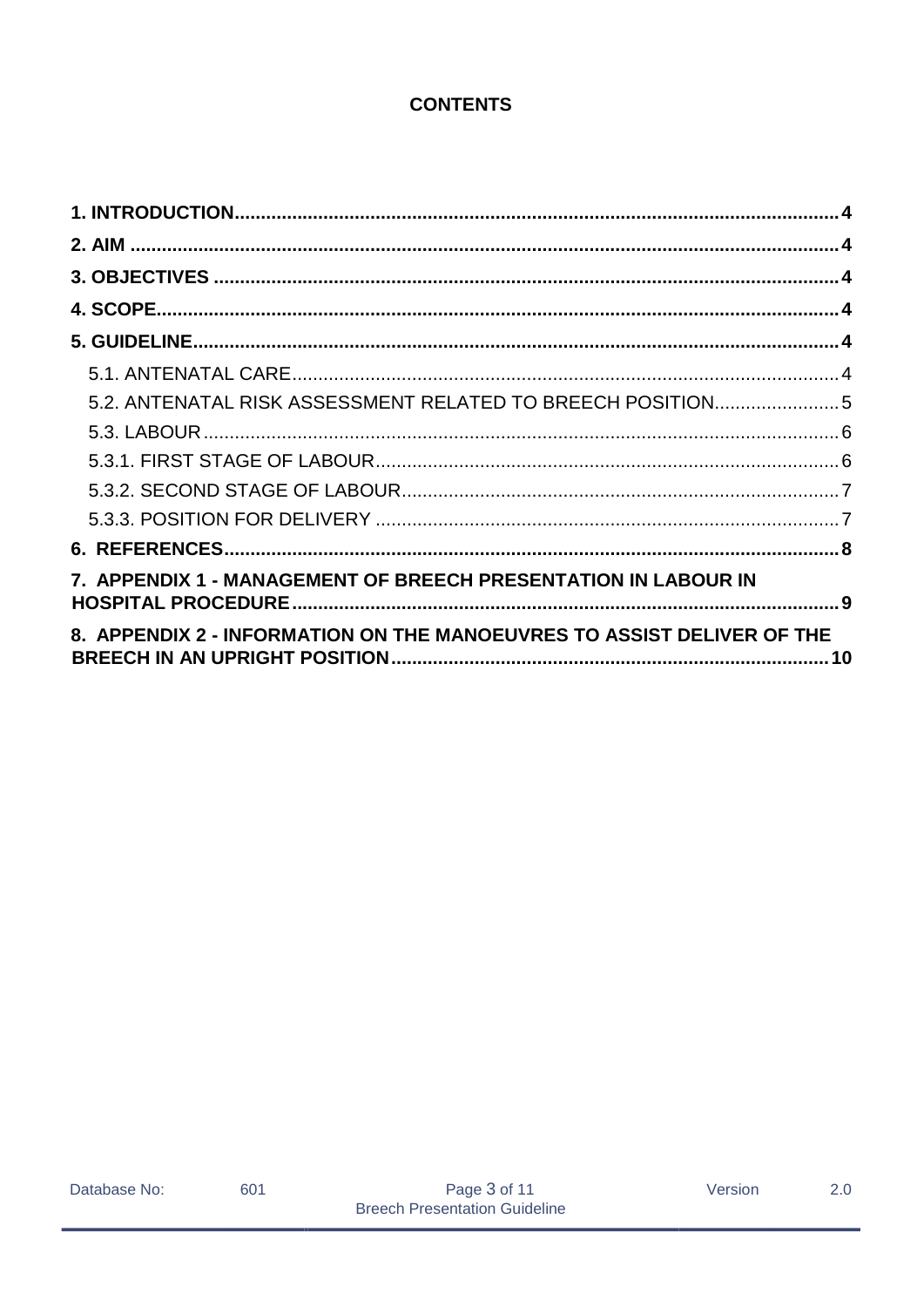# **CONTENTS**

| 5.2. ANTENATAL RISK ASSESSMENT RELATED TO BREECH POSITION 5            |  |
|------------------------------------------------------------------------|--|
|                                                                        |  |
|                                                                        |  |
|                                                                        |  |
|                                                                        |  |
|                                                                        |  |
| 7. APPENDIX 1 - MANAGEMENT OF BREECH PRESENTATION IN LABOUR IN         |  |
| 8. APPENDIX 2 - INFORMATION ON THE MANOEUVRES TO ASSIST DELIVER OF THE |  |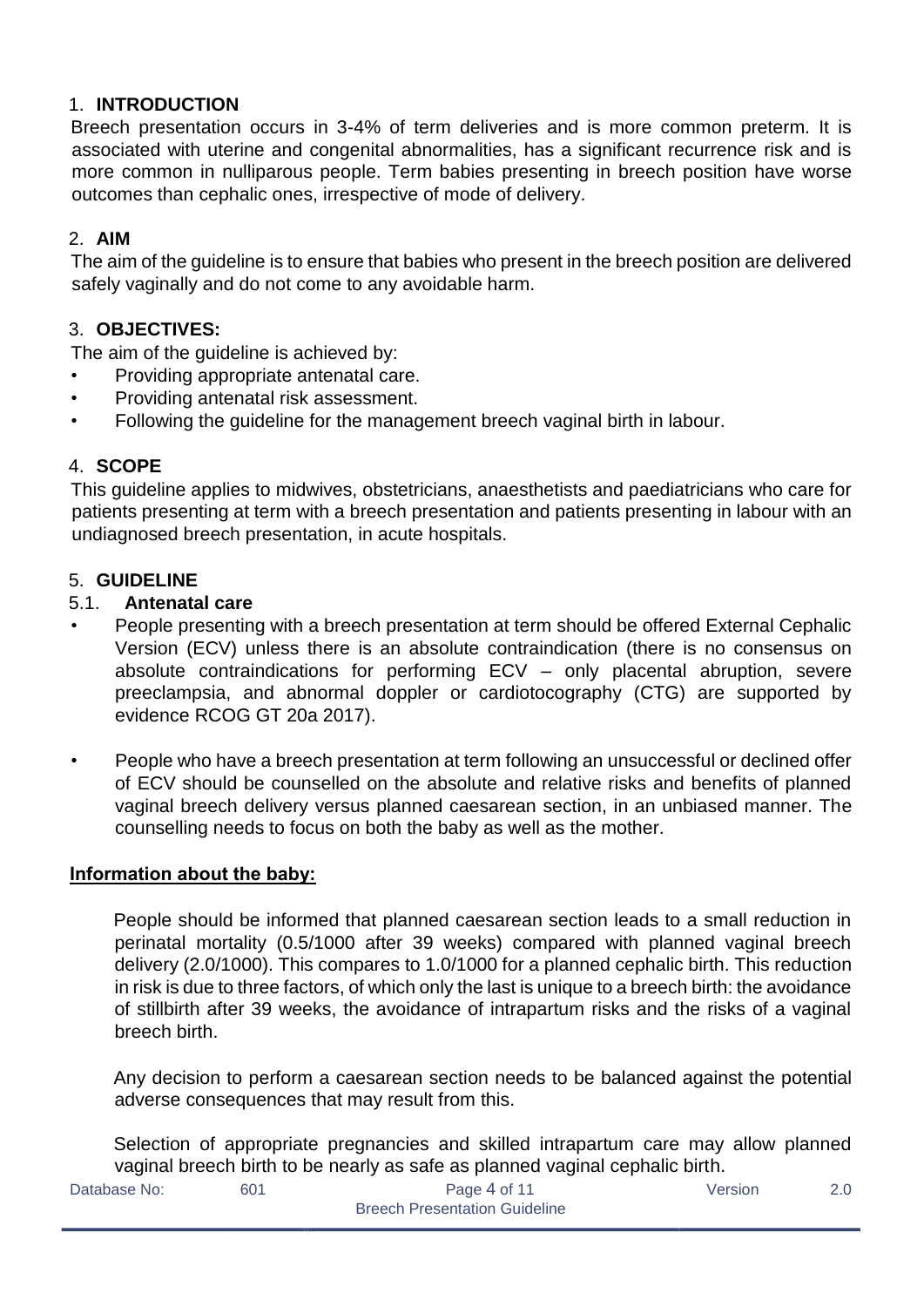# <span id="page-3-0"></span>1. **INTRODUCTION**

Breech presentation occurs in 3-4% of term deliveries and is more common preterm. It is associated with uterine and congenital abnormalities, has a significant recurrence risk and is more common in nulliparous people. Term babies presenting in breech position have worse outcomes than cephalic ones, irrespective of mode of delivery.

# <span id="page-3-1"></span>2. **AIM**

The aim of the guideline is to ensure that babies who present in the breech position are delivered safely vaginally and do not come to any avoidable harm.

# <span id="page-3-2"></span>3. **OBJECTIVES:**

The aim of the guideline is achieved by:

- Providing appropriate antenatal care.
- Providing antenatal risk assessment.
- Following the guideline for the management breech vaginal birth in labour.

### <span id="page-3-3"></span>4. **SCOPE**

This guideline applies to midwives, obstetricians, anaesthetists and paediatricians who care for patients presenting at term with a breech presentation and patients presenting in labour with an undiagnosed breech presentation, in acute hospitals.

#### <span id="page-3-4"></span>5. **GUIDELINE**

#### <span id="page-3-5"></span>5.1. **Antenatal care**

- People presenting with a breech presentation at term should be offered External Cephalic Version (ECV) unless there is an absolute contraindication (there is no consensus on absolute contraindications for performing ECV – only placental abruption, severe preeclampsia, and abnormal doppler or cardiotocography (CTG) are supported by evidence RCOG GT 20a 2017).
- People who have a breech presentation at term following an unsuccessful or declined offer of ECV should be counselled on the absolute and relative risks and benefits of planned vaginal breech delivery versus planned caesarean section, in an unbiased manner. The counselling needs to focus on both the baby as well as the mother.

#### **Information about the baby:**

People should be informed that planned caesarean section leads to a small reduction in perinatal mortality (0.5/1000 after 39 weeks) compared with planned vaginal breech delivery (2.0/1000). This compares to 1.0/1000 for a planned cephalic birth. This reduction in risk is due to three factors, of which only the last is unique to a breech birth: the avoidance of stillbirth after 39 weeks, the avoidance of intrapartum risks and the risks of a vaginal breech birth.

Any decision to perform a caesarean section needs to be balanced against the potential adverse consequences that may result from this.

Selection of appropriate pregnancies and skilled intrapartum care may allow planned vaginal breech birth to be nearly as safe as planned vaginal cephalic birth.

| Database No: |
|--------------|
|--------------|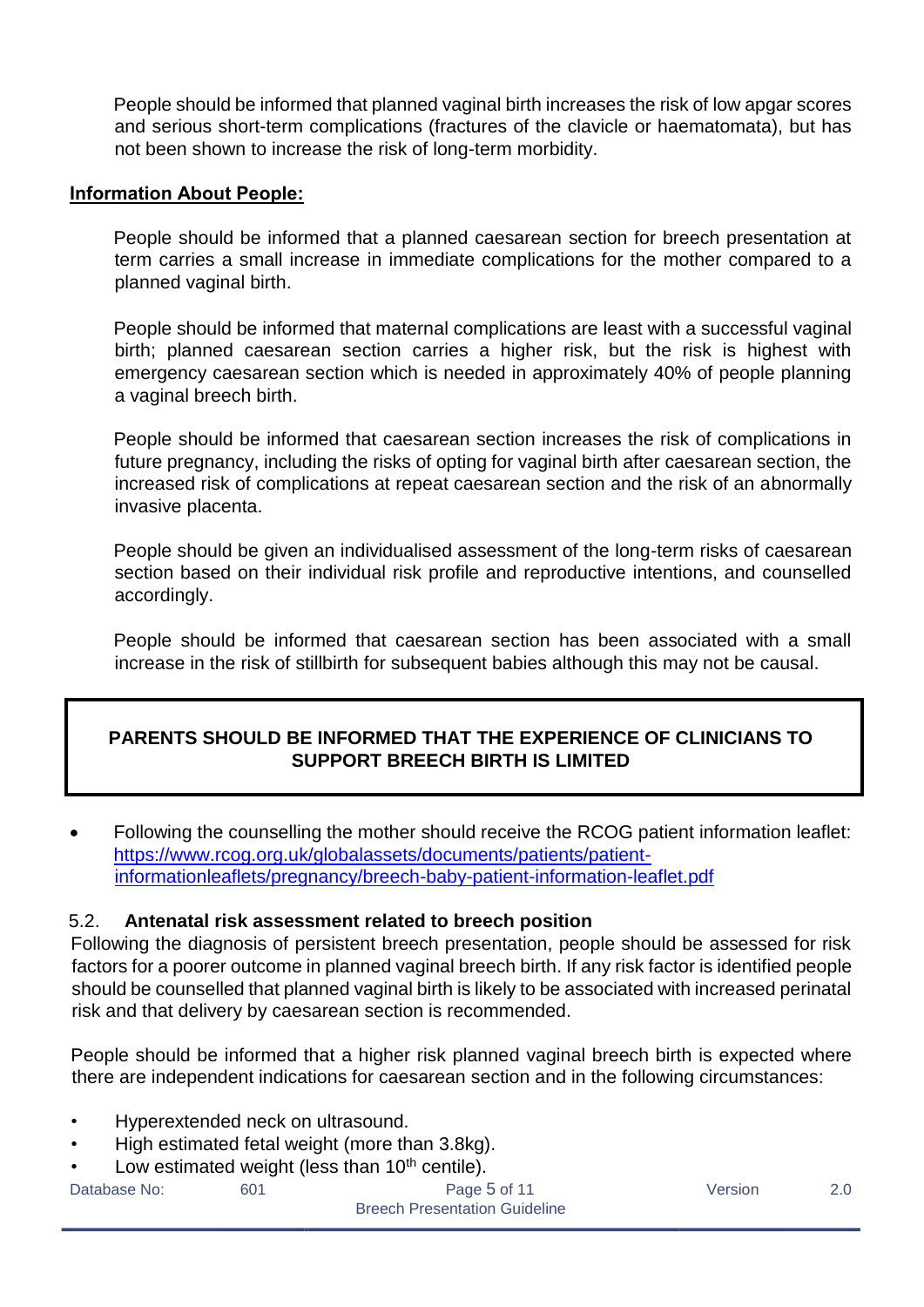People should be informed that planned vaginal birth increases the risk of low apgar scores and serious short-term complications (fractures of the clavicle or haematomata), but has not been shown to increase the risk of long-term morbidity.

#### **Information About People:**

People should be informed that a planned caesarean section for breech presentation at term carries a small increase in immediate complications for the mother compared to a planned vaginal birth.

People should be informed that maternal complications are least with a successful vaginal birth; planned caesarean section carries a higher risk, but the risk is highest with emergency caesarean section which is needed in approximately 40% of people planning a vaginal breech birth.

People should be informed that caesarean section increases the risk of complications in future pregnancy, including the risks of opting for vaginal birth after caesarean section, the increased risk of complications at repeat caesarean section and the risk of an abnormally invasive placenta.

People should be given an individualised assessment of the long-term risks of caesarean section based on their individual risk profile and reproductive intentions, and counselled accordingly.

People should be informed that caesarean section has been associated with a small increase in the risk of stillbirth for subsequent babies although this may not be causal.

# **PARENTS SHOULD BE INFORMED THAT THE EXPERIENCE OF CLINICIANS TO SUPPORT BREECH BIRTH IS LIMITED**

 Following the counselling the mother should receive the RCOG patient information leaflet: [https://www.rcog.org.uk/globalassets/documents/patients/patient](https://www.rcog.org.uk/globalassets/documents/patients/patient-information-leaflets/pregnancy/breech-baby-patient-information-leaflet.pdf)[informationleaflets/pregnancy/breech-baby-patient-information-leaflet.pdf](https://www.rcog.org.uk/globalassets/documents/patients/patient-information-leaflets/pregnancy/breech-baby-patient-information-leaflet.pdf)

### <span id="page-4-0"></span>5.2. **Antenatal risk assessment related to breech position**

Following the diagnosis of persistent breech presentation, people should be assessed for risk factors for a poorer outcome in planned vaginal breech birth. If any risk factor is identified people should be counselled that planned vaginal birth is likely to be associated with increased perinatal risk and that delivery by caesarean section is recommended.

People should be informed that a higher risk planned vaginal breech birth is expected where there are independent indications for caesarean section and in the following circumstances:

- Hyperextended neck on ultrasound.
- High estimated fetal weight (more than 3.8kg).
- Low estimated weight (less than  $10<sup>th</sup>$  centile).

Database No: 601 601 **Page 5 of 11** Version 2.0 Breech Presentation Guideline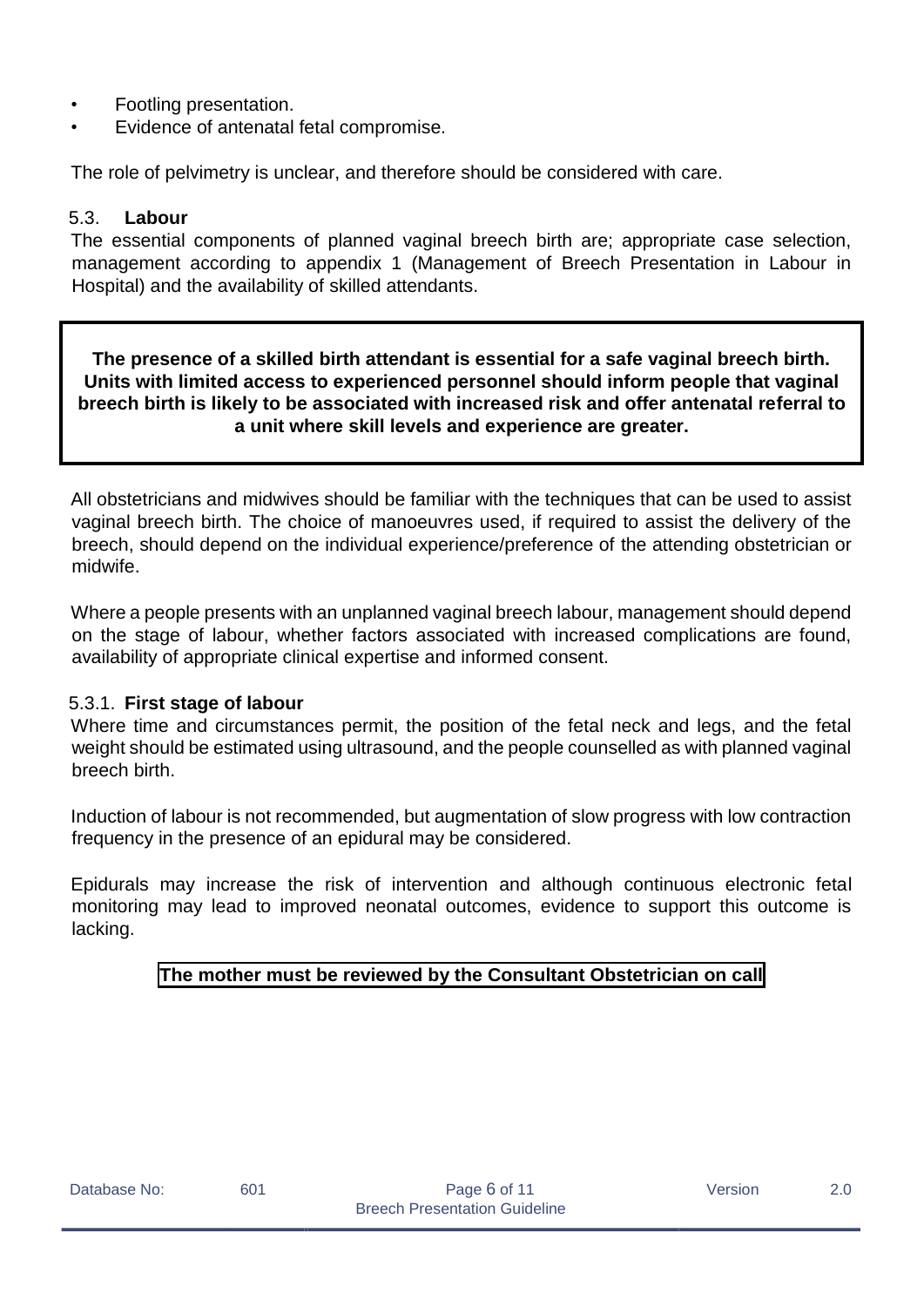- Footling presentation.
- Evidence of antenatal fetal compromise.

The role of pelvimetry is unclear, and therefore should be considered with care.

#### <span id="page-5-0"></span>5.3. **Labour**

The essential components of planned vaginal breech birth are; appropriate case selection, management according to appendix 1 (Management of Breech Presentation in Labour in Hospital) and the availability of skilled attendants.

**The presence of a skilled birth attendant is essential for a safe vaginal breech birth. Units with limited access to experienced personnel should inform people that vaginal breech birth is likely to be associated with increased risk and offer antenatal referral to a unit where skill levels and experience are greater.**

All obstetricians and midwives should be familiar with the techniques that can be used to assist vaginal breech birth. The choice of manoeuvres used, if required to assist the delivery of the breech, should depend on the individual experience/preference of the attending obstetrician or midwife.

Where a people presents with an unplanned vaginal breech labour, management should depend on the stage of labour, whether factors associated with increased complications are found, availability of appropriate clinical expertise and informed consent.

#### <span id="page-5-1"></span>5.3.1. **First stage of labour**

Where time and circumstances permit, the position of the fetal neck and legs, and the fetal weight should be estimated using ultrasound, and the people counselled as with planned vaginal breech birth.

Induction of labour is not recommended, but augmentation of slow progress with low contraction frequency in the presence of an epidural may be considered.

Epidurals may increase the risk of intervention and although continuous electronic fetal monitoring may lead to improved neonatal outcomes, evidence to support this outcome is lacking.

### **The mother must be reviewed by the Consultant Obstetrician on call**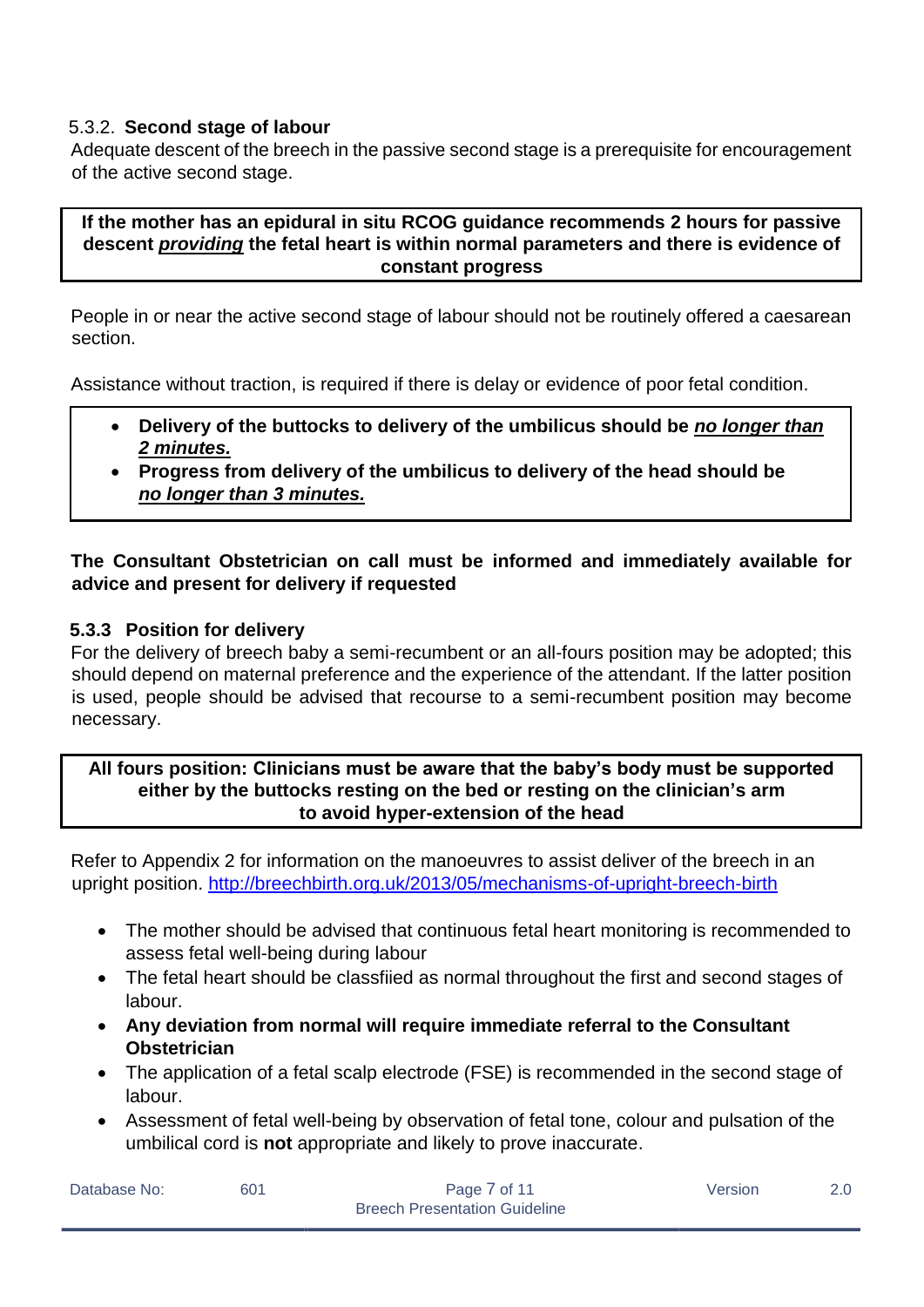#### <span id="page-6-0"></span>5.3.2. **Second stage of labour**

Adequate descent of the breech in the passive second stage is a prerequisite for encouragement of the active second stage.

#### **If the mother has an epidural in situ RCOG guidance recommends 2 hours for passive descent** *providing* **the fetal heart is within normal parameters and there is evidence of constant progress**

People in or near the active second stage of labour should not be routinely offered a caesarean section.

Assistance without traction, is required if there is delay or evidence of poor fetal condition.

- **Delivery of the buttocks to delivery of the umbilicus should be** *no longer than 2 minutes.*
- **Progress from delivery of the umbilicus to delivery of the head should be**  *no longer than 3 minutes.*

### **The Consultant Obstetrician on call must be informed and immediately available for advice and present for delivery if requested**

#### <span id="page-6-1"></span>**5.3.3 Position for delivery**

For the delivery of breech baby a semi-recumbent or an all-fours position may be adopted; this should depend on maternal preference and the experience of the attendant. If the latter position is used, people should be advised that recourse to a semi-recumbent position may become necessary.

#### **All fours position: Clinicians must be aware that the baby's body must be supported either by the buttocks resting on the bed or resting on the clinician's arm to avoid hyper-extension of the head**

Refer to Appendix 2 for information on the manoeuvres to assist deliver of the breech in an upright position.<http://breechbirth.org.uk/2013/05/mechanisms-of-upright-breech-birth>

- The mother should be advised that continuous fetal heart monitoring is recommended to assess fetal well-being during labour
- The fetal heart should be classfiied as normal throughout the first and second stages of labour.
- **Any deviation from normal will require immediate referral to the Consultant Obstetrician**
- The application of a fetal scalp electrode (FSE) is recommended in the second stage of labour.
- Assessment of fetal well-being by observation of fetal tone, colour and pulsation of the umbilical cord is **not** appropriate and likely to prove inaccurate.

| Database No: | 601 | Page 7 of 11                         | Version | 2.0 <sub>1</sub> |
|--------------|-----|--------------------------------------|---------|------------------|
|              |     | <b>Breech Presentation Guideline</b> |         |                  |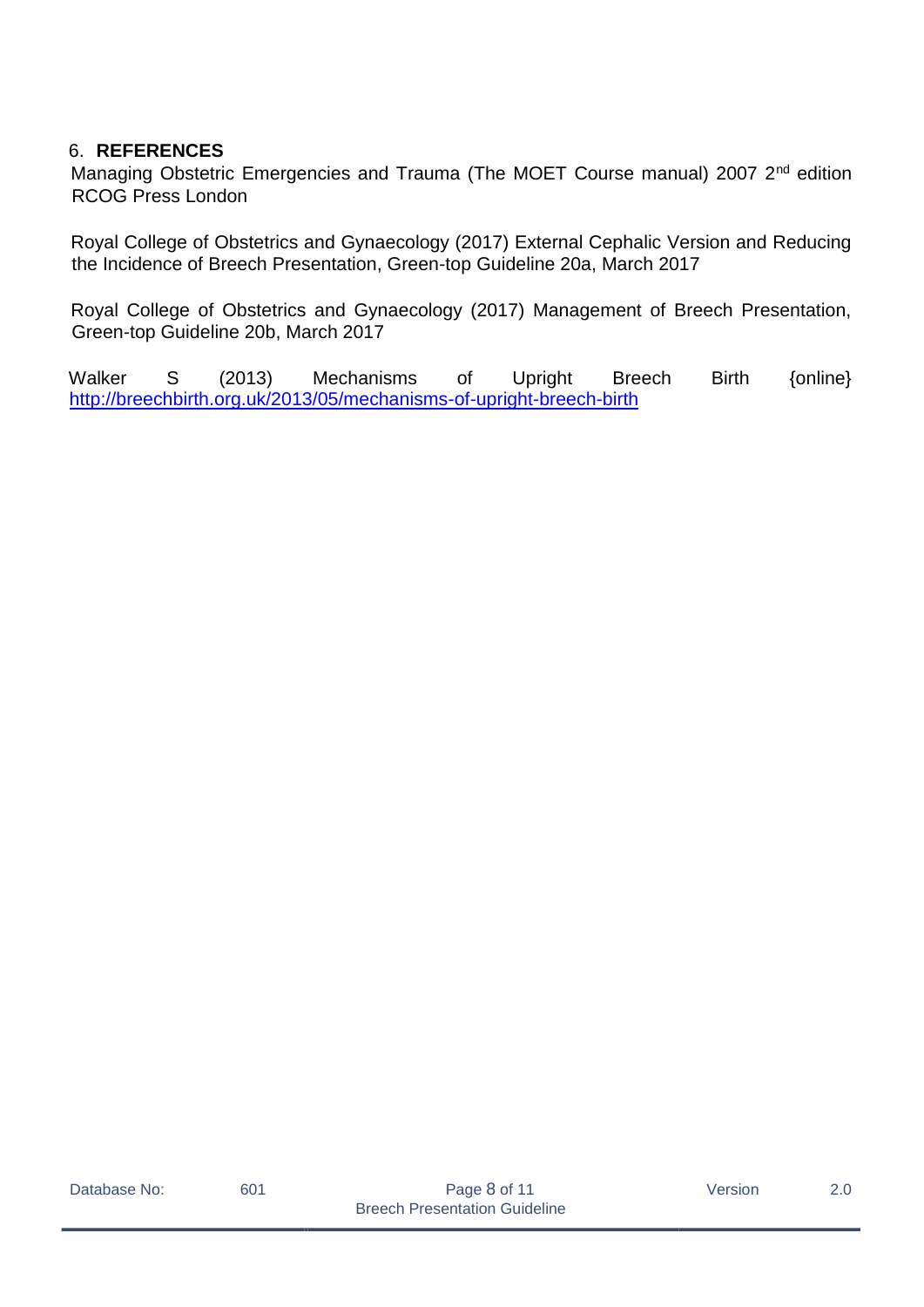#### <span id="page-7-0"></span>6. **REFERENCES**

Managing Obstetric Emergencies and Trauma (The MOET Course manual) 2007 2<sup>nd</sup> edition RCOG Press London

Royal College of Obstetrics and Gynaecology (2017) External Cephalic Version and Reducing the Incidence of Breech Presentation, Green-top Guideline 20a, March 2017

Royal College of Obstetrics and Gynaecology (2017) Management of Breech Presentation, Green-top Guideline 20b, March 2017

Walker S (2013) Mechanisms of Upright Breech Birth {online} <http://breechbirth.org.uk/2013/05/mechanisms-of-upright-breech-birth>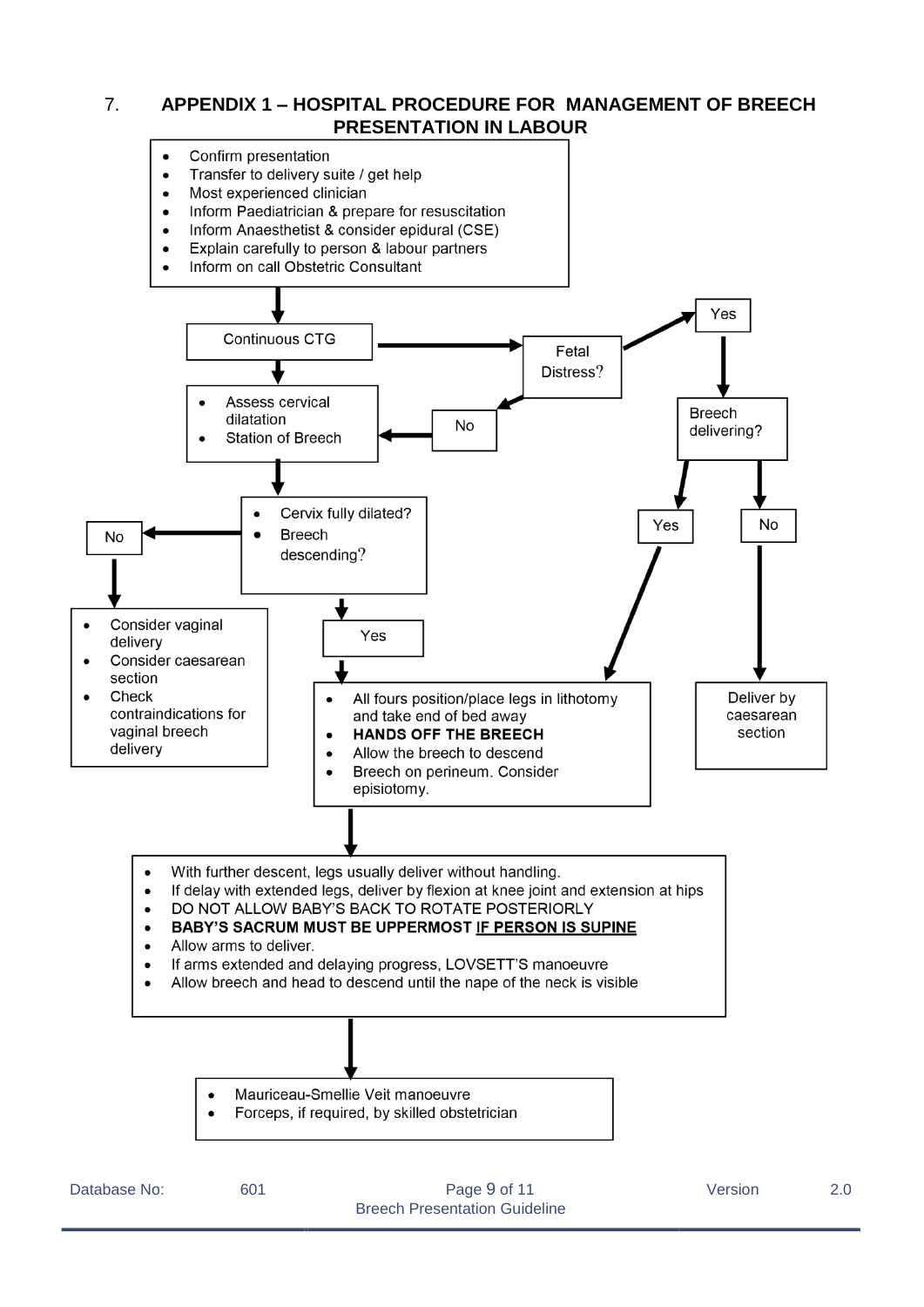# <span id="page-8-0"></span>7. **APPENDIX 1 – HOSPITAL PROCEDURE FOR MANAGEMENT OF BREECH PRESENTATION IN LABOUR**

- Confirm presentation
	- Transfer to delivery suite / get help  $\bullet$
	- Most experienced clinician  $\bullet$
	- Inform Paediatrician & prepare for resuscitation  $\bullet$
	- Inform Anaesthetist & consider epidural (CSE)
	- Explain carefully to person & labour partners
	- Inform on call Obstetric Consultant



- If delay with extended legs, deliver by flexion at knee joint and extension at hips
- DO NOT ALLOW BABY'S BACK TO ROTATE POSTERIORLY  $\bullet$

#### **BABY'S SACRUM MUST BE UPPERMOST IF PERSON IS SUPINE**  $\bullet$

- Allow arms to deliver.
- If arms extended and delaying progress, LOVSETT'S manoeuvre
- Allow breech and head to descend until the nape of the neck is visible
	- Mauriceau-Smellie Veit manoeuvre
	- Forceps, if required, by skilled obstetrician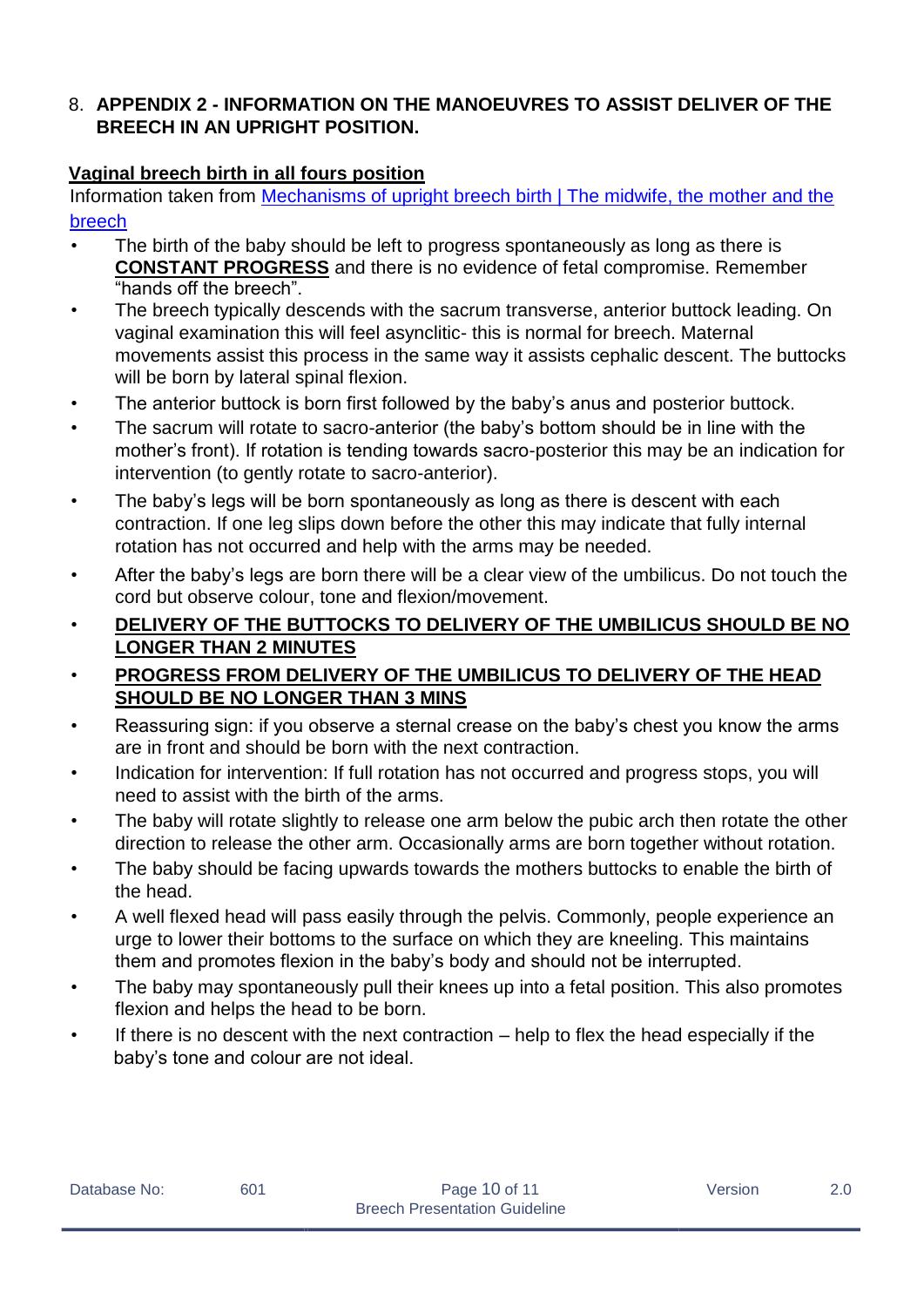# <span id="page-9-0"></span>8. **APPENDIX 2 - INFORMATION ON THE MANOEUVRES TO ASSIST DELIVER OF THE BREECH IN AN UPRIGHT POSITION.**

# **Vaginal breech birth in all fours position**

Information taken from [Mechanisms of upright breech birth | The midwife, the mother and the](http://breechbirth.org.uk/2013/05/mechanisms-of-upright-breech-birth/) [breech](http://breechbirth.org.uk/2013/05/mechanisms-of-upright-breech-birth/)

- The birth of the baby should be left to progress spontaneously as long as there is **CONSTANT PROGRESS** and there is no evidence of fetal compromise. Remember "hands off the breech".
- The breech typically descends with the sacrum transverse, anterior buttock leading. On vaginal examination this will feel asynclitic- this is normal for breech. Maternal movements assist this process in the same way it assists cephalic descent. The buttocks will be born by lateral spinal flexion.
- The anterior buttock is born first followed by the baby's anus and posterior buttock.
- The sacrum will rotate to sacro-anterior (the baby's bottom should be in line with the mother's front). If rotation is tending towards sacro-posterior this may be an indication for intervention (to gently rotate to sacro-anterior).
- The baby's legs will be born spontaneously as long as there is descent with each contraction. If one leg slips down before the other this may indicate that fully internal rotation has not occurred and help with the arms may be needed.
- After the baby's legs are born there will be a clear view of the umbilicus. Do not touch the cord but observe colour, tone and flexion/movement.
- **DELIVERY OF THE BUTTOCKS TO DELIVERY OF THE UMBILICUS SHOULD BE NO LONGER THAN 2 MINUTES**
- **PROGRESS FROM DELIVERY OF THE UMBILICUS TO DELIVERY OF THE HEAD SHOULD BE NO LONGER THAN 3 MINS**
- Reassuring sign: if you observe a sternal crease on the baby's chest you know the arms are in front and should be born with the next contraction.
- Indication for intervention: If full rotation has not occurred and progress stops, you will need to assist with the birth of the arms.
- The baby will rotate slightly to release one arm below the pubic arch then rotate the other direction to release the other arm. Occasionally arms are born together without rotation.
- The baby should be facing upwards towards the mothers buttocks to enable the birth of the head.
- A well flexed head will pass easily through the pelvis. Commonly, people experience an urge to lower their bottoms to the surface on which they are kneeling. This maintains them and promotes flexion in the baby's body and should not be interrupted.
- The baby may spontaneously pull their knees up into a fetal position. This also promotes flexion and helps the head to be born.
- If there is no descent with the next contraction help to flex the head especially if the baby's tone and colour are not ideal.